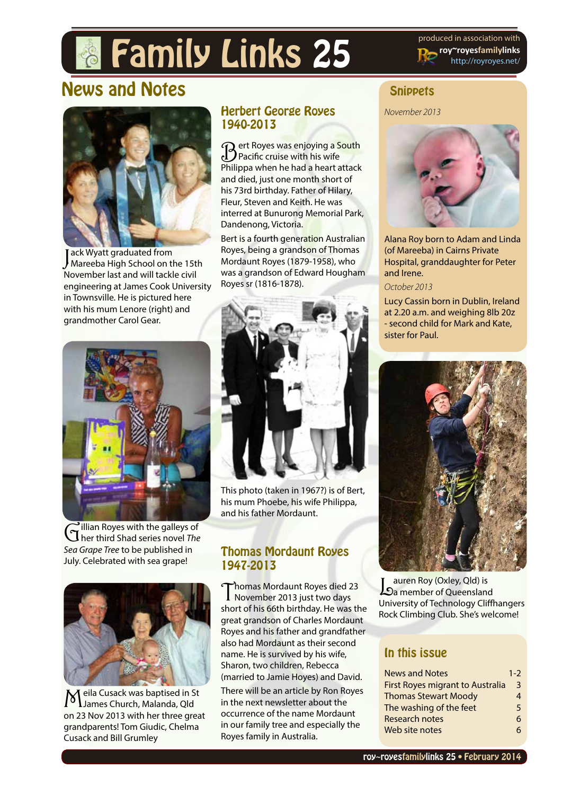# **Family Links 25** produced in association with

**roy~royesfamilylinks** [http://royroyes.net/](http://royroyes.net/genealogy)

# News and Notes



Jack Wyatt graduated from<br>Mareeba High School on the 15th ack Wyatt graduated from November last and will tackle civil engineering at James Cook University in Townsville. He is pictured here with his mum Lenore (right) and grandmother Carol Gear.

## Herbert George Royes 1940-2013

**R** ert Royes was enjoying a South Pacific cruise with his wife Philippa when he had a heart attack and died, just one month short of his 73rd birthday. Father of Hilary, Fleur, Steven and Keith. He was interred at Bunurong Memorial Park, Dandenong, Victoria.

Bert is a fourth generation Australian Royes, being a grandson of Thomas Mordaunt Royes (1879-1958), who was a grandson of Edward Hougham Royes sr (1816-1878).



Gillian Royes with the galleys of her third Shad series novel *The Sea Grape Tree* to be published in July. Celebrated with sea grape!



Meila Cusack was baptised in St James Church, Malanda, Qld on 23 Nov 2013 with her three great grandparents! Tom Giudic, Chelma Cusack and Bill Grumley



This photo (taken in 1967?) is of Bert, his mum Phoebe, his wife Philippa, and his father Mordaunt.

### Thomas Mordaunt Royes 1947-2013

Thomas Mordaunt Royes died 23 November 2013 just two days short of his 66th birthday. He was the great grandson of Charles Mordaunt Royes and his father and grandfather also had Mordaunt as their second name. He is survived by his wife, Sharon, two children, Rebecca (married to Jamie Hoyes) and David. There will be an article by Ron Royes in the next newsletter about the occurrence of the name Mordaunt in our family tree and especially the Royes family in Australia.

## **Snippets**

*November 2013*



Alana Roy born to Adam and Linda (of Mareeba) in Cairns Private Hospital, granddaughter for Peter and Irene.

#### *October 2013*

Lucy Cassin born in Dublin, Ireland at 2.20 a.m. and weighing 8lb 20z - second child for Mark and Kate, sister for Paul.



Lauren Roy (Oxley, Qld) is a member of Queensland University of Technology Cliffhangers Rock Climbing Club. She's welcome!

## In this issue

| <b>News and Notes</b>                   | $1 - 2$ |
|-----------------------------------------|---------|
| <b>First Royes migrant to Australia</b> | 3       |
| <b>Thomas Stewart Moody</b>             | 4       |
| The washing of the feet                 | 5       |
| <b>Research notes</b>                   | 6       |
| Web site notes                          | 6       |
|                                         |         |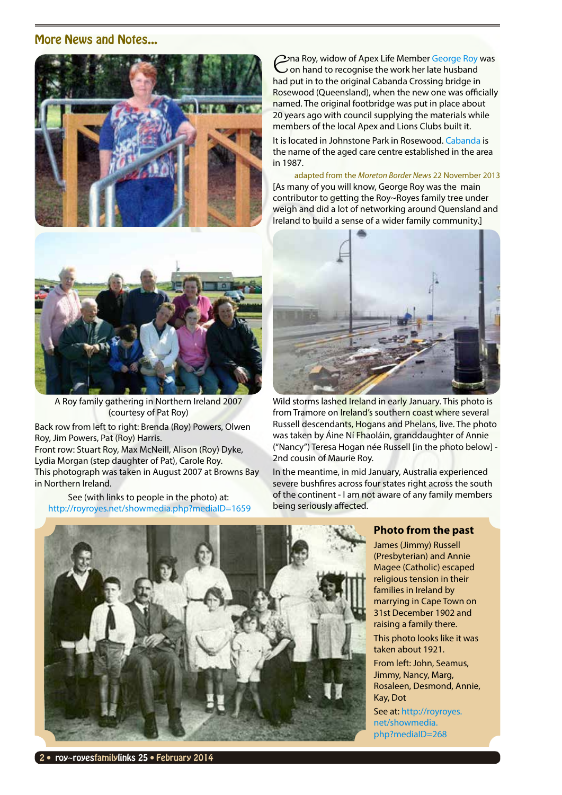#### More News and Notes...





A Roy family gathering in Northern Ireland 2007 (courtesy of Pat Roy)

Back row from left to right: Brenda (Roy) Powers, Olwen Roy, Jim Powers, Pat (Roy) Harris.

Front row: Stuart Roy, Max McNeill, Alison (Roy) Dyke, Lydia Morgan (step daughter of Pat), Carole Roy. This photograph was taken in August 2007 at Browns Bay in Northern Ireland.

See (with links to people in the photo) at: <http://royroyes.net/showmedia.php?mediaID=1659> Ena Roy, widow of Apex Life Member [George Roy](http://royroyes.net/getperson.php?personID=I834&tree=rr_tree) was on hand to recognise the work her late husband had put in to the original Cabanda Crossing bridge in Rosewood (Queensland), when the new one was officially named. The original footbridge was put in place about 20 years ago with council supplying the materials while members of the local Apex and Lions Clubs built it.

It is located in Johnstone Park in Rosewood. [Cabanda](http://www.cabanda.org.au) is the name of the aged care centre established in the area in 1987.

adapted from the *Moreton Border News* 22 November 2013 [As many of you will know, George Roy was the main contributor to getting the Roy~Royes family tree under weigh and did a lot of networking around Quensland and Ireland to build a sense of a wider family community.]



Wild storms lashed Ireland in early January. This photo is from Tramore on *Ireland's* southern coast where several Russell descendants, Hogans and Phelans, live. The photo was taken by Áine Ní Fhaoláin, granddaughter of Annie ("Nancy") Teresa Hogan née Russell [in the photo below] - 2nd cousin of Maurie Roy.

In the meantime, in mid January, Australia experienced severe bushfires across four states right across the south of the continent - I am not aware of any family members being seriously affected.



#### **Photo from the past**

James (Jimmy) Russell (Presbyterian) and Annie Magee (Catholic) escaped religious tension in their families in Ireland by marrying in Cape Town on 31st December 1902 and raising a family there. This photo looks like it was

taken about 1921. From left: John, Seamus, Jimmy, Nancy, Marg, Rosaleen, Desmond, Annie, Kay, Dot

See at: [http://royroyes.](http://royroyes.net/showmedia.php?mediaID=268) [net/showmedia.](http://royroyes.net/showmedia.php?mediaID=268) [php?mediaID=268](http://royroyes.net/showmedia.php?mediaID=268)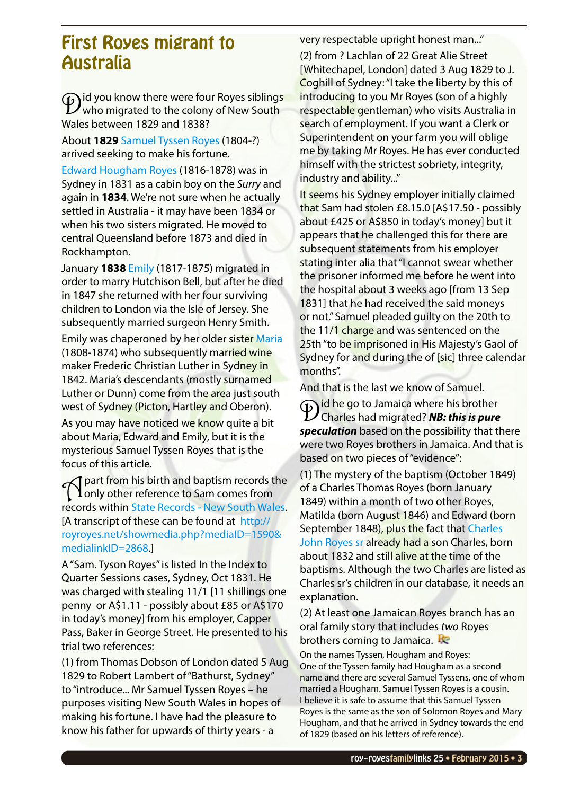## <span id="page-2-0"></span>First Royes migrant to Australia

Did you know there were four Royes siblings who migrated to the colony of New South Wales between 1829 and 1838?

About **1829** [Samuel Tyssen Royes](http://royroyes.net/getperson.php?personID=I543&tree=rr_tree) (1804-?) arrived seeking to make his fortune.

[Edward Hougham Royes](http://royroyes.net/getperson.php?personID=I910&tree=rr_tree) (1816-1878) was in Sydney in 1831 as a cabin boy on the *Surry* and again in **1834**. We're not sure when he actually settled in Australia - it may have been 1834 or when his two sisters migrated. He moved to central Queensland before 1873 and died in Rockhampton.

January **1838** [Emily](http://royroyes.net/getperson.php?personID=I2260&tree=rr_tree) (1817-1875) migrated in order to marry Hutchison Bell, but after he died in 1847 she returned with her four surviving children to London via the Isle of Jersey. She subsequently married surgeon Henry Smith.

Emily was chaperoned by her older sister [Maria](http://royroyes.net/getperson.php?personID=I2261&tree=rr_tree) (1808-1874) who subsequently married wine maker Frederic Christian Luther in Sydney in 1842. Maria's descendants (mostly surnamed Luther or Dunn) come from the area just south west of Sydney (Picton, Hartley and Oberon).

As you may have noticed we know quite a bit about Maria, Edward and Emily, but it is the mysterious Samuel Tyssen Royes that is the focus of this article.

**T** part from his birth and baptism records the<br> **T** only other reference to Sam comes from records within [State Records - New South Wales.](http://www.records.nsw.gov.au) [A transcript of these can be found at [http://](http://royroyes.net/showmedia.php?mediaID=1590&medialinkID=2868) [royroyes.net/showmedia.php?mediaID=1590&](http://royroyes.net/showmedia.php?mediaID=1590&medialinkID=2868) [medialinkID=2868](http://royroyes.net/showmedia.php?mediaID=1590&medialinkID=2868).]

A "Sam. Tyson Royes" is listed In the Index to Quarter Sessions cases, Sydney, Oct 1831. He was charged with stealing 11/1 [11 shillings one penny or A\$1.11 - possibly about £85 or A\$170 in today's money] from his employer, Capper Pass, Baker in George Street. He presented to his trial two references:

(1) from Thomas Dobson of London dated 5 Aug 1829 to Robert Lambert of "Bathurst, Sydney" to "introduce... Mr Samuel Tyssen Royes – he purposes visiting New South Wales in hopes of making his fortune. I have had the pleasure to know his father for upwards of thirty years - a

very respectable upright honest man..."

(2) from ? Lachlan of 22 Great Alie Street [Whitechapel, London] dated 3 Aug 1829 to J. Coghill of Sydney: "I take the liberty by this of introducing to you Mr Royes (son of a highly respectable gentleman) who visits Australia in search of employment. If you want a Clerk or Superintendent on your farm you will oblige me by taking Mr Royes. He has ever conducted himself with the strictest sobriety, integrity, industry and ability..."

It seems his Sydney employer initially claimed that Sam had stolen £8.15.0 [A\$17.50 - possibly about £425 or A\$850 in today's money] but it appears that he challenged this for there are subsequent statements from his employer stating inter alia that "I cannot swear whether the prisoner informed me before he went into the hospital about 3 weeks ago [from 13 Sep 1831] that he had received the said moneys or not." Samuel pleaded guilty on the 20th to the 11/1 charge and was sentenced on the 25th "to be imprisoned in His Majesty's Gaol of Sydney for and during the of [sic] three calendar months".

And that is the last we know of Samuel.

**Did he go to Jamaica where his brother** Charles had migrated? *NB: this is pure speculation* based on the possibility that there were two Royes brothers in Jamaica. And that is based on two pieces of "evidence":

(1) The mystery of the baptism (October 1849) of a Charles Thomas Royes (born January 1849) within a month of two other Royes, Matilda (born August 1846) and Edward (born September 1848), plus the fact that Charles [John Royes sr](http://royroyes.net/getperson.php?personID=I2102&tree=rr_tree) already had a son Charles, born about 1832 and still alive at the time of the baptisms. Although the two Charles are listed as Charles sr's children in our database, it needs an explanation.

(2) At least one Jamaican Royes branch has an oral family story that includes *two* Royes brothers coming to Jamaica.

On the names Tyssen, Hougham and Royes: One of the Tyssen family had Hougham as a second name and there are several Samuel Tyssens, one of whom married a Hougham. Samuel Tyssen Royes is a cousin. I believe it is safe to assume that this Samuel Tyssen Royes is the same as the son of Solomon Royes and Mary Hougham, and that he arrived in Sydney towards the end of 1829 (based on his letters of reference).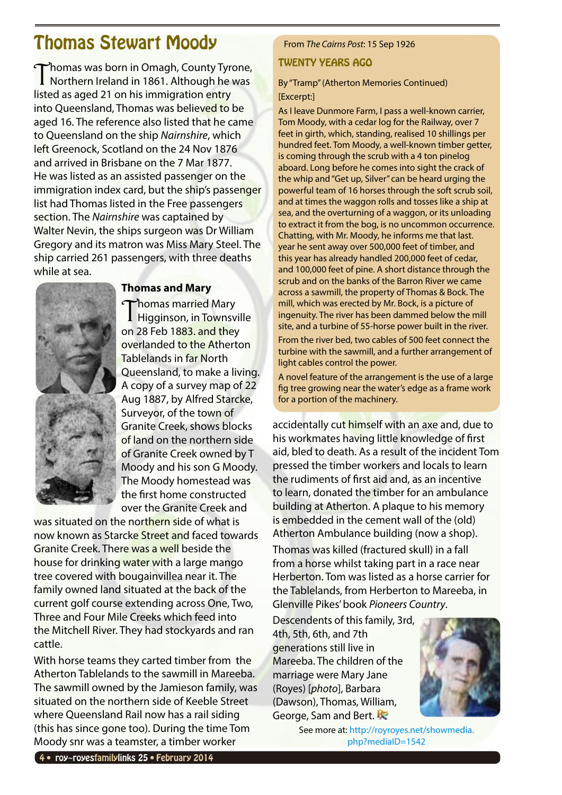# <span id="page-3-0"></span>Thomas Stewart Moody

Thomas was born in Omagh, County Tyrone,<br>Northern Ireland in 1861. Although he was listed as aged 21 on his immigration entry into Queensland, Thomas was believed to be aged 16. The reference also listed that he came to Queensland on the ship *Nairnshire*, which left Greenock, Scotland on the 24 Nov 1876 and arrived in Brisbane on the 7 Mar 1877. He was listed as an assisted passenger on the immigration index card, but the ship's passenger list had Thomas listed in the Free passengers section. The *Nairnshire* was captained by Walter Nevin, the ships surgeon was Dr William Gregory and its matron was Miss Mary Steel. The ship carried 261 passengers, with three deaths while at sea.



**Thomas and Mary**

Thomas married Mary **Higginson, in Townsville** on 28 Feb 1883. and they overlanded to the Atherton Tablelands in far North Queensland, to make a living. A copy of a survey map of 22 Aug 1887, by Alfred Starcke, Surveyor, of the town of Granite Creek, shows blocks of land on the northern side of Granite Creek owned by T Moody and his son G Moody. The Moody homestead was the first home constructed over the Granite Creek and

was situated on the northern side of what is now known as Starcke Street and faced towards Granite Creek. There was a well beside the house for drinking water with a large mango tree covered with bougainvillea near it. The family owned land situated at the back of the current golf course extending across One, Two, Three and Four Mile Creeks which feed into the Mitchell River. They had stockyards and ran cattle.

With horse teams they carted timber from the Atherton Tablelands to the sawmill in Mareeba. The sawmill owned by the Jamieson family, was situated on the northern side of Keeble Street where Queensland Rail now has a rail siding (this has since gone too). During the time Tom Moody snr was a teamster, a timber worker

### From *The Cairns Post*: 15 Sep 1926

#### TWENTY YEARS AGO

By "Tramp" (Atherton Memories Continued) [Excerpt:]

As I leave Dunmore Farm, I pass a well-known carrier, Tom Moody, with a cedar log for the Railway, over 7 feet in girth, which, standing, realised 10 shillings per hundred feet. Tom Moody, a well-known timber getter, is coming through the scrub with a 4 ton pinelog aboard. Long before he comes into sight the crack of the whip and "Get up, Silver" can be heard urging the powerful team of 16 horses through the soft scrub soil, and at times the waggon rolls and tosses like a ship at sea, and the overturning of a waggon, or its unloading to extract it from the bog, is no uncommon occurrence. Chatting, with Mr. Moody, he informs me that last. year he sent away over 500,000 feet of timber, and this year has already handled 200,000 feet of cedar, and 100,000 feet of pine. A short distance through the scrub and on the banks of the Barron River we came across a sawmill, the property of Thomas & Bock. The mill, which was erected by Mr. Bock, is a picture of ingenuity. The river has been dammed below the mill site, and a turbine of 55-horse power built in the river.

From the river bed, two cables of 500 feet connect the turbine with the sawmill, and a further arrangement of light cables control the power.

A novel feature of the arrangement is the use of a large fig tree growing near the water's edge as a frame work for a portion of the machinery.

accidentally cut himself with an axe and, due to his workmates having little knowledge of first aid, bled to death. As a result of the incident Tom pressed the timber workers and locals to learn the rudiments of first aid and, as an incentive to learn, donated the timber for an ambulance building at Atherton. A plaque to his memory is embedded in the cement wall of the (old) Atherton Ambulance building (now a shop).

Thomas was killed (fractured skull) in a fall from a horse whilst taking part in a race near Herberton. Tom was listed as a horse carrier for the Tablelands, from Herberton to Mareeba, in Glenville Pikes' book *Pioneers Country*.

Descendents of this family, 3rd, 4th, 5th, 6th, and 7th generations still live in Mareeba. The children of the marriage were Mary Jane (Royes) [*photo*], Barbara (Dawson), Thomas, William, George, Sam and Bert.



See more at: [http://royroyes.net/showmedia.](http://royroyes.net/showmedia.php?mediaID=1542) [php?mediaID=1542](http://royroyes.net/showmedia.php?mediaID=1542)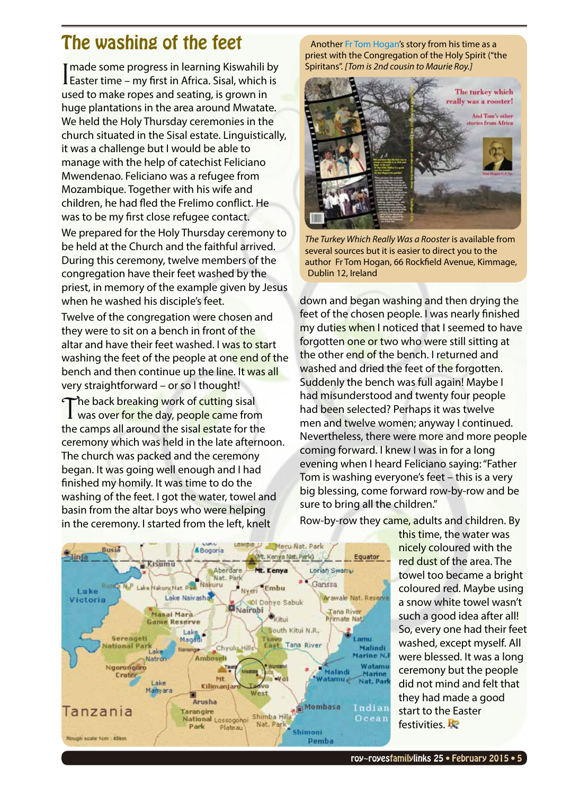# <span id="page-4-0"></span>The washing of the feet

I made some progress in learning Kiswahili by<br>Easter time – my first in Africa. Sisal, which is made some progress in learning Kiswahili by used to make ropes and seating, is grown in huge plantations in the area around Mwatate. We held the Holy Thursday ceremonies in the church situated in the Sisal estate. Linguistically, it was a challenge but I would be able to manage with the help of catechist Feliciano Mwendenao. Feliciano was a refugee from Mozambique. Together with his wife and children, he had fled the Frelimo conflict. He was to be my first close refugee contact.

We prepared for the Holy Thursday ceremony to be held at the Church and the faithful arrived. During this ceremony, twelve members of the congregation have their feet washed by the priest, in memory of the example given by Jesus when he washed his disciple's feet.

Twelve of the congregation were chosen and they were to sit on a bench in front of the altar and have their feet washed. I was to start washing the feet of the people at one end of the bench and then continue up the line. It was all very straightforward – or so I thought!

The back breaking work of cutting sisal<br>was over for the day, people came from the camps all around the sisal estate for the ceremony which was held in the late afternoon. The church was packed and the ceremony began. It was going well enough and I had finished my homily. It was time to do the washing of the feet. I got the water, towel and basin from the altar boys who were helping in the ceremony. I started from the left, knelt

Another [Fr Tom Hogan'](http://royroyes.net/getperson.php?personID=I456&tree=rr_tree)s story from his time as a priest with the Congregation of the Holy Spirit ("the Spiritans". *[Tom is 2nd cousin to Maurie Roy.]*



*The Turkey Which Really Was a Rooster* is available from several sources but it is easier to direct you to the author Fr Tom Hogan, 66 Rockfield Avenue, Kimmage, Dublin 12, Ireland

down and began washing and then drying the feet of the chosen people. I was nearly finished my duties when I noticed that I seemed to have forgotten one or two who were still sitting at the other end of the bench. I returned and washed and dried the feet of the forgotten. Suddenly the bench was full again! Maybe I had misunderstood and twenty four people had been selected? Perhaps it was twelve men and twelve women; anyway I continued. Nevertheless, there were more and more people coming forward. I knew I was in for a long evening when I heard Feliciano saying: "Father Tom is washing everyone's feet – this is a very big blessing, come forward row-by-row and be sure to bring all the children."



Row-by-row they came, adults and children. By

this time, the water was nicely coloured with the red dust of the area. The towel too became a bright coloured red. Maybe using a snow white towel wasn't such a good idea after all! So, every one had their feet washed, except myself. All were blessed. It was a long ceremony but the people did not mind and felt that they had made a good start to the Easter festivities. **Re**